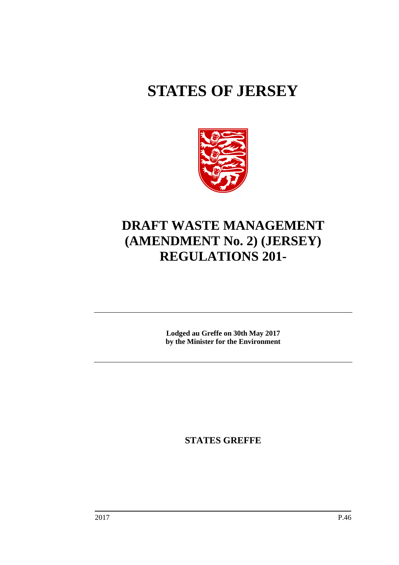# **STATES OF JERSEY**



## **DRAFT WASTE MANAGEMENT (AMENDMENT No. 2) (JERSEY) REGULATIONS 201-**

**Lodged au Greffe on 30th May 2017 by the Minister for the Environment**

**STATES GREFFE**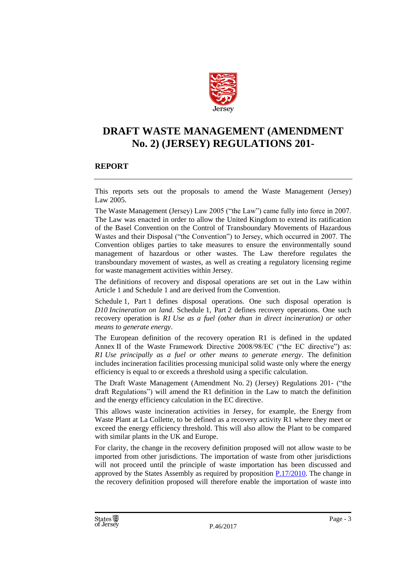

## **DRAFT WASTE MANAGEMENT (AMENDMENT No. 2) (JERSEY) REGULATIONS 201-**

#### **REPORT**

This reports sets out the proposals to amend the Waste Management (Jersey) Law 2005.

The Waste Management (Jersey) Law 2005 ("the Law") came fully into force in 2007. The Law was enacted in order to allow the United Kingdom to extend its ratification of the Basel Convention on the Control of Transboundary Movements of Hazardous Wastes and their Disposal ("the Convention") to Jersey, which occurred in 2007. The Convention obliges parties to take measures to ensure the environmentally sound management of hazardous or other wastes. The Law therefore regulates the transboundary movement of wastes, as well as creating a regulatory licensing regime for waste management activities within Jersey.

The definitions of recovery and disposal operations are set out in the Law within Article 1 and Schedule 1 and are derived from the Convention.

Schedule 1, Part 1 defines disposal operations. One such disposal operation is *D10 Incineration on land*. Schedule 1, Part 2 defines recovery operations. One such recovery operation is *R1 Use as a fuel (other than in direct incineration) or other means to generate energy*.

The European definition of the recovery operation R1 is defined in the updated Annex II of the Waste Framework Directive 2008/98/EC ("the EC directive") as: *R1 Use principally as a fuel or other means to generate energy*. The definition includes incineration facilities processing municipal solid waste only where the energy efficiency is equal to or exceeds a threshold using a specific calculation.

The Draft Waste Management (Amendment No. 2) (Jersey) Regulations 201- ("the draft Regulations") will amend the R1 definition in the Law to match the definition and the energy efficiency calculation in the EC directive.

This allows waste incineration activities in Jersey, for example, the Energy from Waste Plant at La Collette, to be defined as a recovery activity R1 where they meet or exceed the energy efficiency threshold. This will also allow the Plant to be compared with similar plants in the UK and Europe.

For clarity, the change in the recovery definition proposed will not allow waste to be imported from other jurisdictions. The importation of waste from other jurisdictions will not proceed until the principle of waste importation has been discussed and approved by the States Assembly as required by proposition [P.17/2010.](http://www.statesassembly.gov.je/AssemblyPropositions/2010/23442-30147-1722010.pdf) The change in the recovery definition proposed will therefore enable the importation of waste into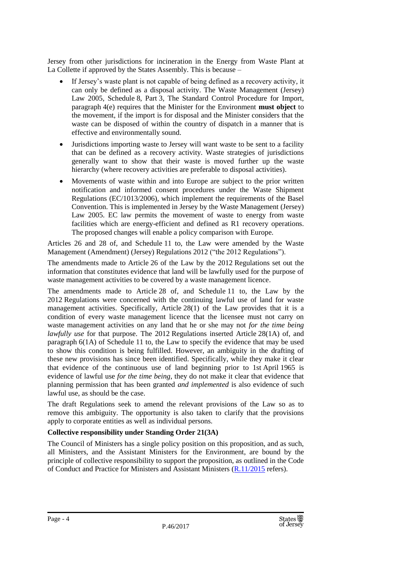Jersey from other jurisdictions for incineration in the Energy from Waste Plant at La Collette if approved by the States Assembly. This is because –

- If Jersey's waste plant is not capable of being defined as a recovery activity, it can only be defined as a disposal activity. The Waste Management (Jersey) Law 2005, Schedule 8, Part 3, The Standard Control Procedure for Import, paragraph 4(e) requires that the Minister for the Environment **must object** to the movement, if the import is for disposal and the Minister considers that the waste can be disposed of within the country of dispatch in a manner that is effective and environmentally sound.
- Jurisdictions importing waste to Jersey will want waste to be sent to a facility that can be defined as a recovery activity. Waste strategies of jurisdictions generally want to show that their waste is moved further up the waste hierarchy (where recovery activities are preferable to disposal activities).
- Movements of waste within and into Europe are subject to the prior written notification and informed consent procedures under the Waste Shipment Regulations (EC/1013/2006), which implement the requirements of the Basel Convention. This is implemented in Jersey by the Waste Management (Jersey) Law 2005. EC law permits the movement of waste to energy from waste facilities which are energy-efficient and defined as R1 recovery operations. The proposed changes will enable a policy comparison with Europe.

Articles 26 and 28 of, and Schedule 11 to, the Law were amended by the Waste Management (Amendment) (Jersey) Regulations 2012 ("the 2012 Regulations").

The amendments made to Article 26 of the Law by the 2012 Regulations set out the information that constitutes evidence that land will be lawfully used for the purpose of waste management activities to be covered by a waste management licence.

The amendments made to Article 28 of, and Schedule 11 to, the Law by the 2012 Regulations were concerned with the continuing lawful use of land for waste management activities. Specifically, Article 28(1) of the Law provides that it is a condition of every waste management licence that the licensee must not carry on waste management activities on any land that he or she may not *for the time being lawfully use* for that purpose. The 2012 Regulations inserted Article 28(1A) of, and paragraph 6(1A) of Schedule 11 to, the Law to specify the evidence that may be used to show this condition is being fulfilled. However, an ambiguity in the drafting of these new provisions has since been identified. Specifically, while they make it clear that evidence of the continuous use of land beginning prior to 1st April 1965 is evidence of lawful use *for the time being*, they do not make it clear that evidence that planning permission that has been granted *and implemented* is also evidence of such lawful use, as should be the case.

The draft Regulations seek to amend the relevant provisions of the Law so as to remove this ambiguity. The opportunity is also taken to clarify that the provisions apply to corporate entities as well as individual persons.

#### **Collective responsibility under Standing Order 21(3A)**

The Council of Ministers has a single policy position on this proposition, and as such, all Ministers, and the Assistant Ministers for the Environment, are bound by the principle of collective responsibility to support the proposition, as outlined in the Code of Conduct and Practice for Ministers and Assistant Ministers [\(R.11/2015](http://www.statesassembly.gov.je/AssemblyReports/2015/R.11-2015.pdf) refers).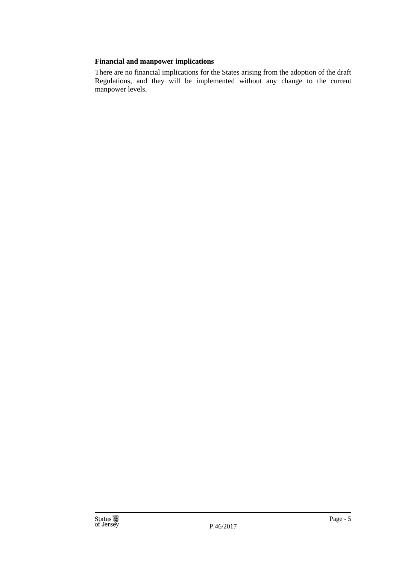#### **Financial and manpower implications**

There are no financial implications for the States arising from the adoption of the draft Regulations, and they will be implemented without any change to the current manpower levels.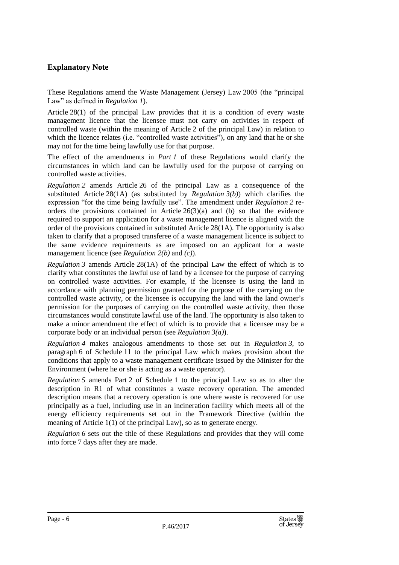#### **Explanatory Note**

These Regulations amend the Waste Management (Jersey) Law 2005 (the "principal Law" as defined in *Regulation 1*).

Article 28(1) of the principal Law provides that it is a condition of every waste management licence that the licensee must not carry on activities in respect of controlled waste (within the meaning of Article 2 of the principal Law) in relation to which the licence relates (i.e. "controlled waste activities"), on any land that he or she may not for the time being lawfully use for that purpose.

The effect of the amendments in *Part 1* of these Regulations would clarify the circumstances in which land can be lawfully used for the purpose of carrying on controlled waste activities.

*Regulation 2* amends Article 26 of the principal Law as a consequence of the substituted Article 28(1A) (as substituted by *Regulation 3(b)*) which clarifies the expression "for the time being lawfully use". The amendment under *Regulation 2* reorders the provisions contained in Article  $26(3)(a)$  and (b) so that the evidence required to support an application for a waste management licence is aligned with the order of the provisions contained in substituted Article 28(1A). The opportunity is also taken to clarify that a proposed transferee of a waste management licence is subject to the same evidence requirements as are imposed on an applicant for a waste management licence (see *Regulation 2(b)* and *(c)*).

*Regulation 3* amends Article 28(1A) of the principal Law the effect of which is to clarify what constitutes the lawful use of land by a licensee for the purpose of carrying on controlled waste activities. For example, if the licensee is using the land in accordance with planning permission granted for the purpose of the carrying on the controlled waste activity, or the licensee is occupying the land with the land owner's permission for the purposes of carrying on the controlled waste activity, then those circumstances would constitute lawful use of the land. The opportunity is also taken to make a minor amendment the effect of which is to provide that a licensee may be a corporate body or an individual person (see *Regulation 3(a)*).

*Regulation 4* makes analogous amendments to those set out in *Regulation 3*, to paragraph 6 of Schedule 11 to the principal Law which makes provision about the conditions that apply to a waste management certificate issued by the Minister for the Environment (where he or she is acting as a waste operator).

*Regulation 5* amends Part 2 of Schedule 1 to the principal Law so as to alter the description in R1 of what constitutes a waste recovery operation. The amended description means that a recovery operation is one where waste is recovered for use principally as a fuel, including use in an incineration facility which meets all of the energy efficiency requirements set out in the Framework Directive (within the meaning of Article 1(1) of the principal Law), so as to generate energy.

*Regulation 6* sets out the title of these Regulations and provides that they will come into force 7 days after they are made.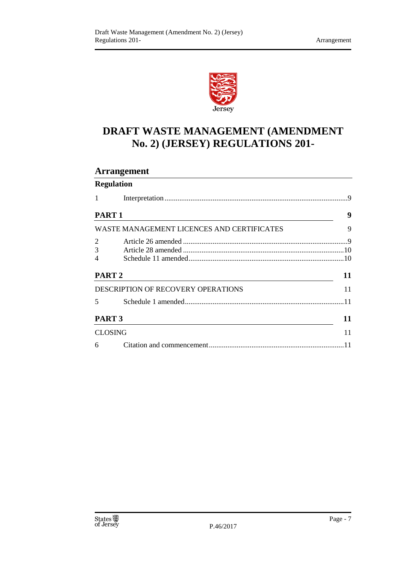

## **DRAFT WASTE MANAGEMENT (AMENDMENT No. 2) (JERSEY) REGULATIONS 201-**

### **Arrangement**

|                                    | <b>Regulation</b>                          |      |
|------------------------------------|--------------------------------------------|------|
| 1                                  |                                            |      |
| <b>PART 1</b>                      |                                            | 9    |
|                                    | WASTE MANAGEMENT LICENCES AND CERTIFICATES | 9    |
| 2                                  |                                            |      |
| 3                                  |                                            |      |
| 4                                  |                                            |      |
| PART <sub>2</sub>                  |                                            | 11   |
| DESCRIPTION OF RECOVERY OPERATIONS |                                            | 11   |
| $\overline{5}$                     |                                            | 11   |
| PART <sub>3</sub>                  |                                            | 11   |
| <b>CLOSING</b>                     |                                            | 11   |
| 6                                  |                                            | . 11 |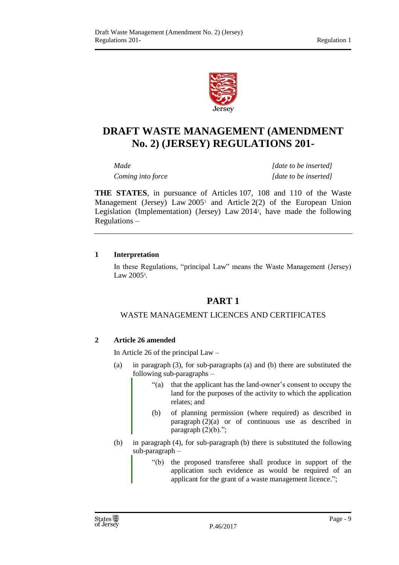

## **DRAFT WASTE MANAGEMENT (AMENDMENT No. 2) (JERSEY) REGULATIONS 201-**

*Made [date to be inserted] Coming into force [date to be inserted]*

**THE STATES**, in pursuance of Articles 107, 108 and 110 of the Waste Management (Jersey) Law  $2005<sup>1</sup>$  and Article  $2(2)$  of the European Union Legislation (Implementation) (Jersey) Law 2014<sup>2</sup> , have made the following Regulations –

#### <span id="page-8-0"></span>**1 Interpretation**

<span id="page-8-1"></span>In these Regulations, "principal Law" means the Waste Management (Jersey) Law 2005<sup>3</sup>.

#### **PART 1**

#### WASTE MANAGEMENT LICENCES AND CERTIFICATES

#### <span id="page-8-3"></span><span id="page-8-2"></span>**2 Article 26 amended**

In Article 26 of the principal Law –

- (a) in paragraph (3), for sub-paragraphs (a) and (b) there are substituted the following sub-paragraphs –
	- "(a) that the applicant has the land-owner's consent to occupy the land for the purposes of the activity to which the application relates; and
	- (b) of planning permission (where required) as described in paragraph (2)(a) or of continuous use as described in paragraph  $(2)(b)$ .";
- (b) in paragraph (4), for sub-paragraph (b) there is substituted the following sub-paragraph –
	- "(b) the proposed transferee shall produce in support of the application such evidence as would be required of an applicant for the grant of a waste management licence.";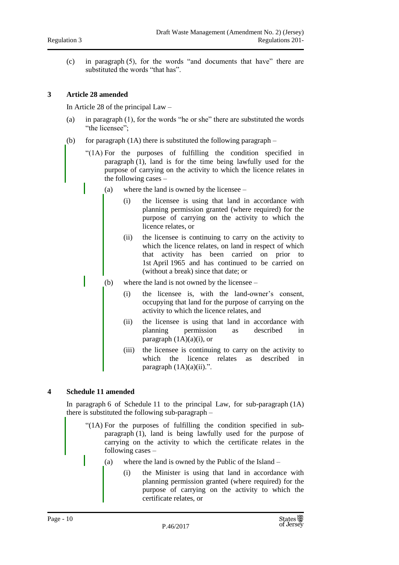(c) in paragraph (5), for the words "and documents that have" there are substituted the words "that has".

#### <span id="page-9-0"></span>**3 Article 28 amended**

In Article 28 of the principal Law –

- (a) in paragraph (1), for the words "he or she" there are substituted the words "the licensee";
- (b) for paragraph  $(1A)$  there is substituted the following paragraph
	- "(1A) For the purposes of fulfilling the condition specified in paragraph (1), land is for the time being lawfully used for the purpose of carrying on the activity to which the licence relates in the following cases –
		- (a) where the land is owned by the licensee
			- (i) the licensee is using that land in accordance with planning permission granted (where required) for the purpose of carrying on the activity to which the licence relates, or
			- (ii) the licensee is continuing to carry on the activity to which the licence relates, on land in respect of which that activity has been carried on prior to 1st April 1965 and has continued to be carried on (without a break) since that date; or
		- (b) where the land is not owned by the licensee
			- (i) the licensee is, with the land-owner's consent, occupying that land for the purpose of carrying on the activity to which the licence relates, and
			- (ii) the licensee is using that land in accordance with planning permission as described in paragraph (1A)(a)(i), or
			- (iii) the licensee is continuing to carry on the activity to which the licence relates as described in paragraph  $(1A)(a)(ii)$ .".

#### <span id="page-9-1"></span>**4 Schedule 11 amended**

In paragraph 6 of Schedule 11 to the principal Law, for sub-paragraph (1A) there is substituted the following sub-paragraph –

- "(1A) For the purposes of fulfilling the condition specified in subparagraph (1), land is being lawfully used for the purpose of carrying on the activity to which the certificate relates in the following cases –
	- (a) where the land is owned by the Public of the Island
		- (i) the Minister is using that land in accordance with planning permission granted (where required) for the purpose of carrying on the activity to which the certificate relates, or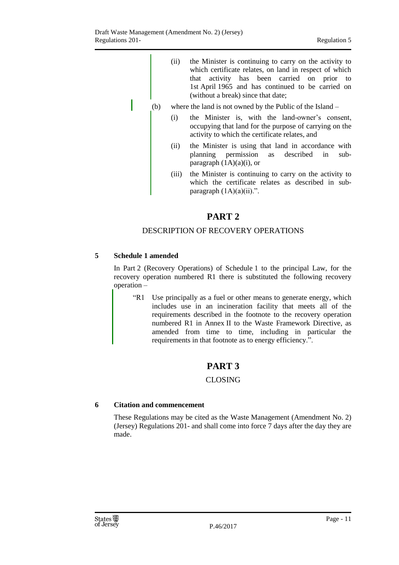- (ii) the Minister is continuing to carry on the activity to which certificate relates, on land in respect of which that activity has been carried on prior to 1st April 1965 and has continued to be carried on (without a break) since that date;
- (b) where the land is not owned by the Public of the Island
	- (i) the Minister is, with the land-owner's consent, occupying that land for the purpose of carrying on the activity to which the certificate relates, and
	- (ii) the Minister is using that land in accordance with planning permission as described in subparagraph  $(1A)(a)(i)$ , or
	- (iii) the Minister is continuing to carry on the activity to which the certificate relates as described in subparagraph  $(1A)(a)(ii)$ .".

#### **PART 2**

#### DESCRIPTION OF RECOVERY OPERATIONS

#### <span id="page-10-2"></span><span id="page-10-1"></span><span id="page-10-0"></span>**5 Schedule 1 amended**

In Part 2 (Recovery Operations) of Schedule 1 to the principal Law, for the recovery operation numbered R1 there is substituted the following recovery operation –

"R1 Use principally as a fuel or other means to generate energy, which includes use in an incineration facility that meets all of the requirements described in the footnote to the recovery operation numbered R1 in Annex II to the Waste Framework Directive, as amended from time to time, including in particular the requirements in that footnote as to energy efficiency.".

#### **PART 3**

#### CLOSING

#### <span id="page-10-5"></span><span id="page-10-4"></span><span id="page-10-3"></span>**6 Citation and commencement**

These Regulations may be cited as the Waste Management (Amendment No. 2) (Jersey) Regulations 201- and shall come into force 7 days after the day they are made.